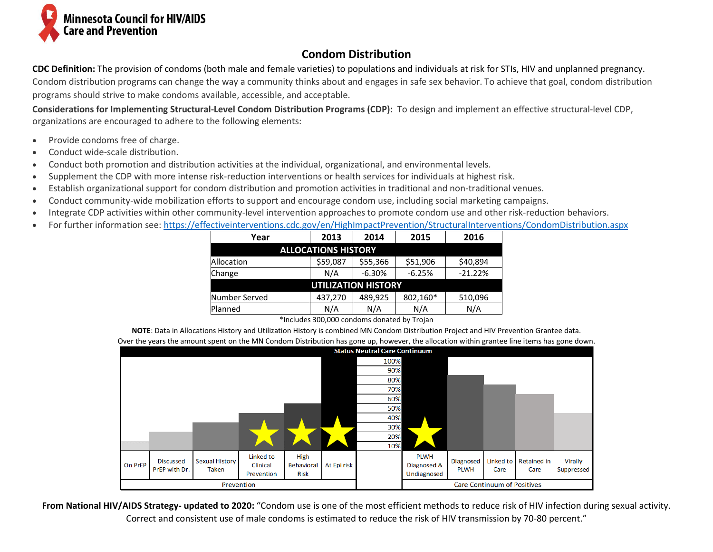

## **Condom Distribution**

**CDC Definition:** The provision of condoms (both male and female varieties) to populations and individuals at risk for STIs, HIV and unplanned pregnancy. Condom distribution programs can change the way a community thinks about and engages in safe sex behavior. To achieve that goal, condom distribution programs should strive to make condoms available, accessible, and acceptable.

**Considerations for Implementing Structural-Level Condom Distribution Programs (CDP):** To design and implement an effective structural-level CDP, organizations are encouraged to adhere to the following elements:

- Provide condoms free of charge.
- Conduct wide-scale distribution.
- Conduct both promotion and distribution activities at the individual, organizational, and environmental levels.
- Supplement the CDP with more intense risk-reduction interventions or health services for individuals at highest risk.
- Establish organizational support for condom distribution and promotion activities in traditional and non-traditional venues.
- Conduct community-wide mobilization efforts to support and encourage condom use, including social marketing campaigns.
- Integrate CDP activities within other community-level intervention approaches to promote condom use and other risk-reduction behaviors.
- For further information see[: https://effectiveinterventions.cdc.gov/en/HighImpactPrevention/StructuralInterventions/CondomDistribution.aspx](https://effectiveinterventions.cdc.gov/en/HighImpactPrevention/StructuralInterventions/CondomDistribution.aspx)

| Year                       | 2014<br>2013 |          | 2015     | 2016      |  |  |  |  |  |  |  |
|----------------------------|--------------|----------|----------|-----------|--|--|--|--|--|--|--|
| <b>ALLOCATIONS HISTORY</b> |              |          |          |           |  |  |  |  |  |  |  |
| Allocation                 | \$59,087     | \$55,366 | \$51,906 | \$40,894  |  |  |  |  |  |  |  |
| Change                     | N/A          | $-6.30%$ | $-6.25%$ | $-21.22%$ |  |  |  |  |  |  |  |
| <b>UTILIZATION HISTORY</b> |              |          |          |           |  |  |  |  |  |  |  |
| Number Served              | 437,270      | 489,925  | 802,160* | 510,096   |  |  |  |  |  |  |  |
| Planned                    | N/A          | N/A      | N/A      | N/A       |  |  |  |  |  |  |  |

\*Includes 300,000 condoms donated by Trojan

**NOTE**: Data in Allocations History and Utilization History is combined MN Condom Distribution Project and HIV Prevention Grantee data.

Over the years the amount spent on the MN Condom Distribution has gone up, however, the allocation within grantee line items has gone down.

|                |                                      |                                |                                     |                                   |                                    |      |                                           |                          |                   |                            | $\tilde{}$            |  |  |
|----------------|--------------------------------------|--------------------------------|-------------------------------------|-----------------------------------|------------------------------------|------|-------------------------------------------|--------------------------|-------------------|----------------------------|-----------------------|--|--|
|                | <b>Status Neutral Care Continuum</b> |                                |                                     |                                   |                                    |      |                                           |                          |                   |                            |                       |  |  |
|                |                                      |                                |                                     |                                   |                                    | 100% |                                           |                          |                   |                            |                       |  |  |
|                |                                      |                                |                                     |                                   |                                    | 90%  |                                           |                          |                   |                            |                       |  |  |
|                |                                      |                                |                                     |                                   |                                    | 80%  |                                           |                          |                   |                            |                       |  |  |
|                |                                      |                                |                                     |                                   |                                    | 70%  |                                           |                          |                   |                            |                       |  |  |
|                |                                      |                                |                                     |                                   |                                    | 60%  |                                           |                          |                   |                            |                       |  |  |
|                |                                      |                                |                                     |                                   |                                    | 50%  |                                           |                          |                   |                            |                       |  |  |
|                |                                      |                                |                                     |                                   |                                    | 40%  |                                           |                          |                   |                            |                       |  |  |
|                |                                      |                                |                                     |                                   |                                    | 30%  |                                           |                          |                   |                            |                       |  |  |
|                |                                      |                                |                                     |                                   |                                    | 20%  |                                           |                          |                   |                            |                       |  |  |
|                |                                      |                                |                                     |                                   |                                    | 10%  |                                           |                          |                   |                            |                       |  |  |
| <b>On PrEP</b> | <b>Discussed</b><br>PrEP with Dr.    | <b>Sexual History</b><br>Taken | Linked to<br>Clinical<br>Prevention | High<br>Behavioral<br><b>Risk</b> | At Epi risk                        |      | <b>PLWH</b><br>Diagnosed &<br>Undiagnosed | Diagnosed<br><b>PLWH</b> | Linked to<br>Care | <b>Retained in</b><br>Care | Virally<br>Suppressed |  |  |
| Prevention     |                                      |                                |                                     |                                   | <b>Care Continuum of Positives</b> |      |                                           |                          |                   |                            |                       |  |  |

**From National HIV/AIDS Strategy- updated to 2020:** "Condom use is one of the most efficient methods to reduce risk of HIV infection during sexual activity. Correct and consistent use of male condoms is estimated to reduce the risk of HIV transmission by 70-80 percent."